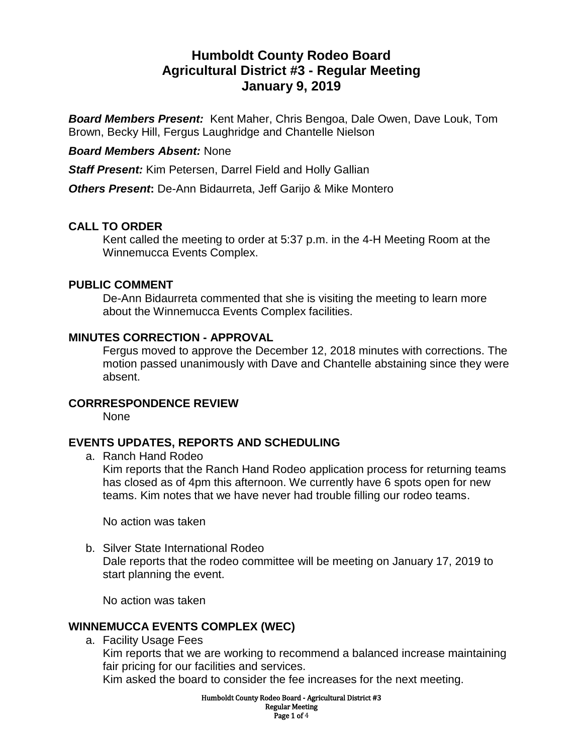# **Humboldt County Rodeo Board Agricultural District #3 - Regular Meeting January 9, 2019**

*Board Members Present:* Kent Maher, Chris Bengoa, Dale Owen, Dave Louk, Tom Brown, Becky Hill, Fergus Laughridge and Chantelle Nielson

#### *Board Members Absent:* None

*Staff Present:* Kim Petersen, Darrel Field and Holly Gallian

*Others Present***:** De-Ann Bidaurreta, Jeff Garijo & Mike Montero

### **CALL TO ORDER**

Kent called the meeting to order at 5:37 p.m. in the 4-H Meeting Room at the Winnemucca Events Complex.

#### **PUBLIC COMMENT**

De-Ann Bidaurreta commented that she is visiting the meeting to learn more about the Winnemucca Events Complex facilities.

#### **MINUTES CORRECTION - APPROVAL**

Fergus moved to approve the December 12, 2018 minutes with corrections. The motion passed unanimously with Dave and Chantelle abstaining since they were absent.

#### **CORRRESPONDENCE REVIEW**

None

# **EVENTS UPDATES, REPORTS AND SCHEDULING**

a. Ranch Hand Rodeo

Kim reports that the Ranch Hand Rodeo application process for returning teams has closed as of 4pm this afternoon. We currently have 6 spots open for new teams. Kim notes that we have never had trouble filling our rodeo teams.

No action was taken

b. Silver State International Rodeo Dale reports that the rodeo committee will be meeting on January 17, 2019 to start planning the event.

No action was taken

#### **WINNEMUCCA EVENTS COMPLEX (WEC)**

a. Facility Usage Fees

Kim reports that we are working to recommend a balanced increase maintaining fair pricing for our facilities and services.

Kim asked the board to consider the fee increases for the next meeting.

Humboldt County Rodeo Board - Agricultural District #3 Regular Meeting Page 1 of 4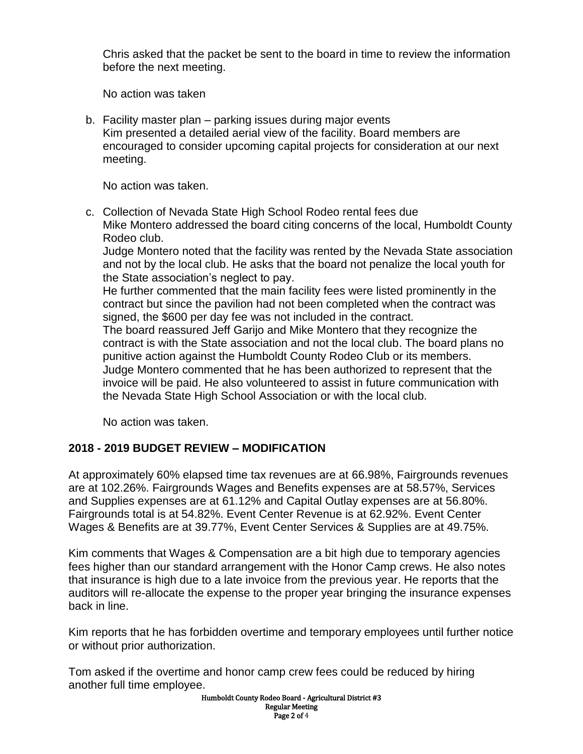Chris asked that the packet be sent to the board in time to review the information before the next meeting.

No action was taken

b. Facility master plan – parking issues during major events Kim presented a detailed aerial view of the facility. Board members are encouraged to consider upcoming capital projects for consideration at our next meeting.

No action was taken.

c. Collection of Nevada State High School Rodeo rental fees due Mike Montero addressed the board citing concerns of the local, Humboldt County Rodeo club.

Judge Montero noted that the facility was rented by the Nevada State association and not by the local club. He asks that the board not penalize the local youth for the State association's neglect to pay.

He further commented that the main facility fees were listed prominently in the contract but since the pavilion had not been completed when the contract was signed, the \$600 per day fee was not included in the contract.

The board reassured Jeff Garijo and Mike Montero that they recognize the contract is with the State association and not the local club. The board plans no punitive action against the Humboldt County Rodeo Club or its members. Judge Montero commented that he has been authorized to represent that the invoice will be paid. He also volunteered to assist in future communication with the Nevada State High School Association or with the local club.

No action was taken.

# **2018 - 2019 BUDGET REVIEW – MODIFICATION**

At approximately 60% elapsed time tax revenues are at 66.98%, Fairgrounds revenues are at 102.26%. Fairgrounds Wages and Benefits expenses are at 58.57%, Services and Supplies expenses are at 61.12% and Capital Outlay expenses are at 56.80%. Fairgrounds total is at 54.82%. Event Center Revenue is at 62.92%. Event Center Wages & Benefits are at 39.77%, Event Center Services & Supplies are at 49.75%.

Kim comments that Wages & Compensation are a bit high due to temporary agencies fees higher than our standard arrangement with the Honor Camp crews. He also notes that insurance is high due to a late invoice from the previous year. He reports that the auditors will re-allocate the expense to the proper year bringing the insurance expenses back in line.

Kim reports that he has forbidden overtime and temporary employees until further notice or without prior authorization.

Tom asked if the overtime and honor camp crew fees could be reduced by hiring another full time employee.

> Humboldt County Rodeo Board - Agricultural District #3 Regular Meeting Page 2 of 4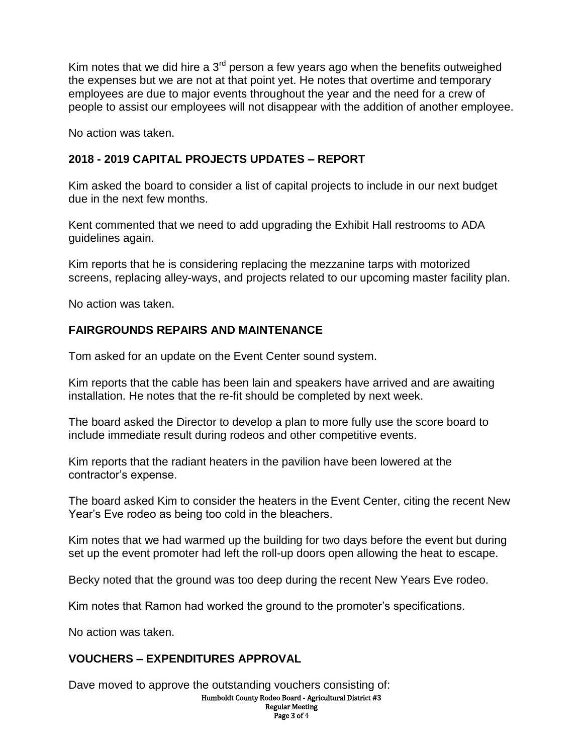Kim notes that we did hire a  $3<sup>rd</sup>$  person a few years ago when the benefits outweighed the expenses but we are not at that point yet. He notes that overtime and temporary employees are due to major events throughout the year and the need for a crew of people to assist our employees will not disappear with the addition of another employee.

No action was taken.

# **2018 - 2019 CAPITAL PROJECTS UPDATES – REPORT**

Kim asked the board to consider a list of capital projects to include in our next budget due in the next few months.

Kent commented that we need to add upgrading the Exhibit Hall restrooms to ADA guidelines again.

Kim reports that he is considering replacing the mezzanine tarps with motorized screens, replacing alley-ways, and projects related to our upcoming master facility plan.

No action was taken.

### **FAIRGROUNDS REPAIRS AND MAINTENANCE**

Tom asked for an update on the Event Center sound system.

Kim reports that the cable has been lain and speakers have arrived and are awaiting installation. He notes that the re-fit should be completed by next week.

The board asked the Director to develop a plan to more fully use the score board to include immediate result during rodeos and other competitive events.

Kim reports that the radiant heaters in the pavilion have been lowered at the contractor's expense.

The board asked Kim to consider the heaters in the Event Center, citing the recent New Year's Eve rodeo as being too cold in the bleachers.

Kim notes that we had warmed up the building for two days before the event but during set up the event promoter had left the roll-up doors open allowing the heat to escape.

Becky noted that the ground was too deep during the recent New Years Eve rodeo.

Kim notes that Ramon had worked the ground to the promoter's specifications.

No action was taken.

# **VOUCHERS – EXPENDITURES APPROVAL**

Dave moved to approve the outstanding vouchers consisting of:

Humboldt County Rodeo Board - Agricultural District #3 Regular Meeting

Page 3 of 4